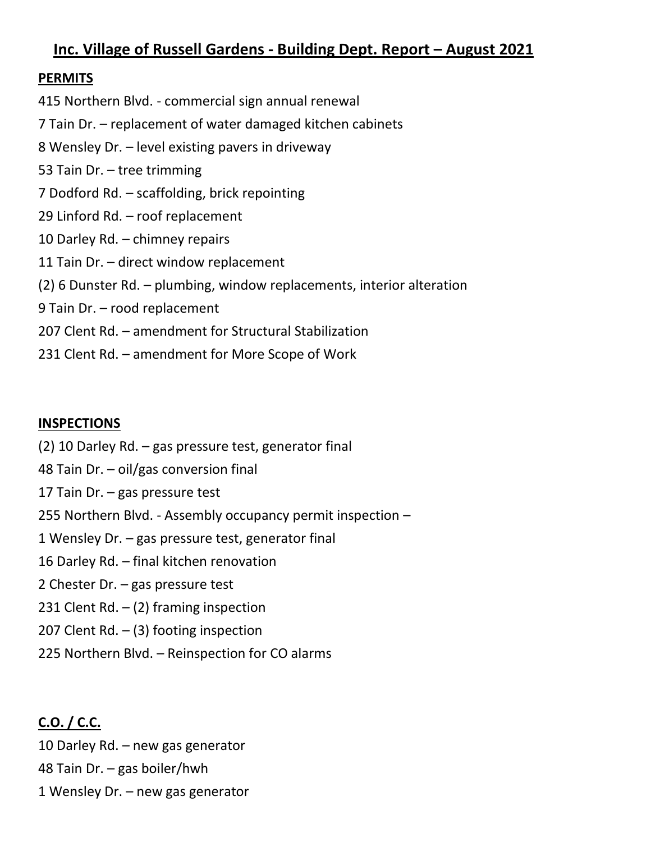# **Inc. Village of Russell Gardens - Building Dept. Report – August 2021**

### **PERMITS**

415 Northern Blvd. - commercial sign annual renewal 7 Tain Dr. – replacement of water damaged kitchen cabinets 8 Wensley Dr. – level existing pavers in driveway 53 Tain Dr. – tree trimming 7 Dodford Rd. – scaffolding, brick repointing 29 Linford Rd. – roof replacement 10 Darley Rd. – chimney repairs 11 Tain Dr. – direct window replacement (2) 6 Dunster Rd. – plumbing, window replacements, interior alteration 9 Tain Dr. – rood replacement 207 Clent Rd. – amendment for Structural Stabilization 231 Clent Rd. – amendment for More Scope of Work

### **INSPECTIONS**

- (2) 10 Darley Rd. gas pressure test, generator final
- 48 Tain Dr. oil/gas conversion final
- 17 Tain Dr. gas pressure test
- 255 Northern Blvd. Assembly occupancy permit inspection –
- 1 Wensley Dr. gas pressure test, generator final
- 16 Darley Rd. final kitchen renovation
- 2 Chester Dr. gas pressure test
- 231 Clent Rd.  $-$  (2) framing inspection
- 207 Clent Rd.  $-$  (3) footing inspection
- 225 Northern Blvd. Reinspection for CO alarms

# **C.O. / C.C.**

10 Darley Rd. – new gas generator 48 Tain Dr. – gas boiler/hwh 1 Wensley Dr. – new gas generator